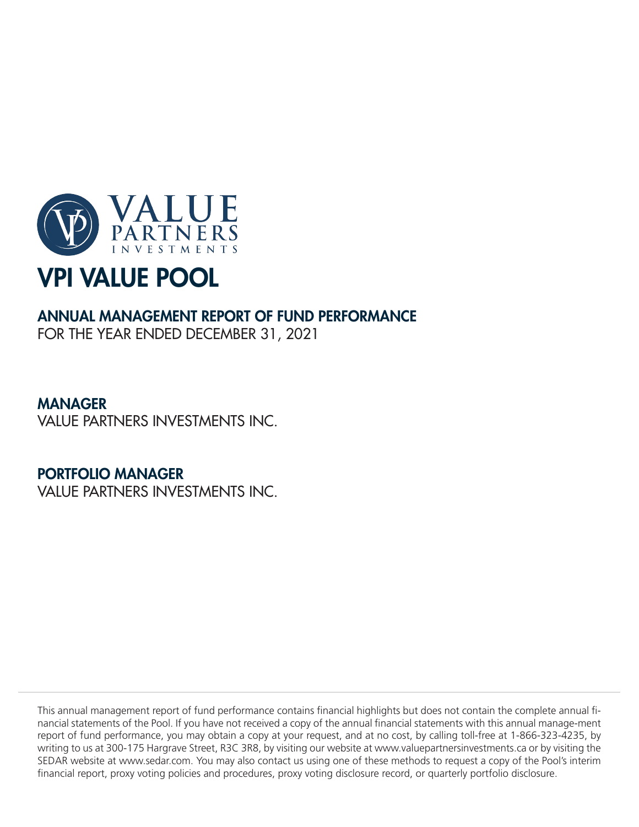

## ANNUAL MANAGEMENT REPORT OF FUND PERFORMANCE

FOR THE YEAR ENDED DECEMBER 31, 2021

## MANAGER

VALUE PARTNERS INVESTMENTS INC.

## PORTFOLIO MANAGER

VALUE PARTNERS INVESTMENTS INC.

This annual management report of fund performance contains financial highlights but does not contain the complete annual financial statements of the Pool. If you have not received a copy of the annual financial statements with this annual manage-ment report of fund performance, you may obtain a copy at your request, and at no cost, by calling toll-free at 1-866-323-4235, by writing to us at 300-175 Hargrave Street, R3C 3R8, by visiting our website at www.valuepartnersinvestments.ca or by visiting the SEDAR website at www.sedar.com. You may also contact us using one of these methods to request a copy of the Pool's interim financial report, proxy voting policies and procedures, proxy voting disclosure record, or quarterly portfolio disclosure.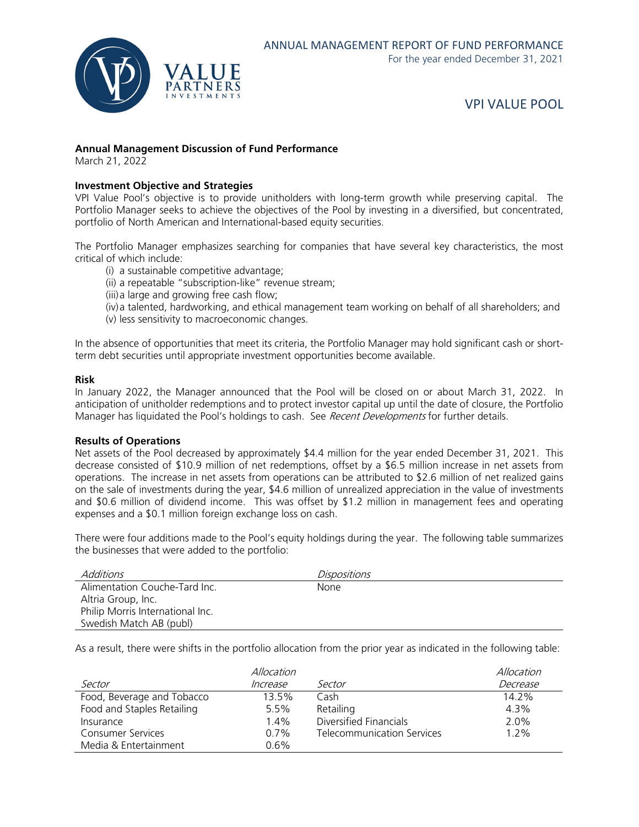

## **Annual Management Discussion of Fund Performance**

March 21, 2022

## **Investment Objective and Strategies**

VPI Value Pool's objective is to provide unitholders with long-term growth while preserving capital. The Portfolio Manager seeks to achieve the objectives of the Pool by investing in a diversified, but concentrated, portfolio of North American and International-based equity securities.

The Portfolio Manager emphasizes searching for companies that have several key characteristics, the most critical of which include:

- (i) a sustainable competitive advantage;
	- (ii) a repeatable "subscription-like" revenue stream;
	- (iii)a large and growing free cash flow;
- (iv)a talented, hardworking, and ethical management team working on behalf of all shareholders; and (v) less sensitivity to macroeconomic changes.

In the absence of opportunities that meet its criteria, the Portfolio Manager may hold significant cash or shortterm debt securities until appropriate investment opportunities become available.

#### **Risk**

In January 2022, the Manager announced that the Pool will be closed on or about March 31, 2022. In anticipation of unitholder redemptions and to protect investor capital up until the date of closure, the Portfolio Manager has liquidated the Pool's holdings to cash. See Recent Developments for further details.

#### **Results of Operations**

Net assets of the Pool decreased by approximately \$4.4 million for the year ended December 31, 2021. This decrease consisted of \$10.9 million of net redemptions, offset by a \$6.5 million increase in net assets from operations. The increase in net assets from operations can be attributed to \$2.6 million of net realized gains on the sale of investments during the year, \$4.6 million of unrealized appreciation in the value of investments and \$0.6 million of dividend income. This was offset by \$1.2 million in management fees and operating expenses and a \$0.1 million foreign exchange loss on cash.

There were four additions made to the Pool's equity holdings during the year. The following table summarizes the businesses that were added to the portfolio:

| Additions                        | Dispositions |
|----------------------------------|--------------|
| Alimentation Couche-Tard Inc.    | None         |
| Altria Group, Inc.               |              |
| Philip Morris International Inc. |              |
| Swedish Match AB (publ)          |              |

As a result, there were shifts in the portfolio allocation from the prior year as indicated in the following table:

|                            | Allocation |                            | Allocation |
|----------------------------|------------|----------------------------|------------|
| Sector                     | Increase   | Sector                     | Decrease   |
| Food, Beverage and Tobacco | 13.5%      | Cash                       | 14.2%      |
| Food and Staples Retailing | 5.5%       | Retailing                  | 4.3%       |
| Insurance                  | $1.4\%$    | Diversified Financials     | 2.0%       |
| <b>Consumer Services</b>   | $0.7\%$    | Telecommunication Services | 1.2%       |
| Media & Entertainment      | 0.6%       |                            |            |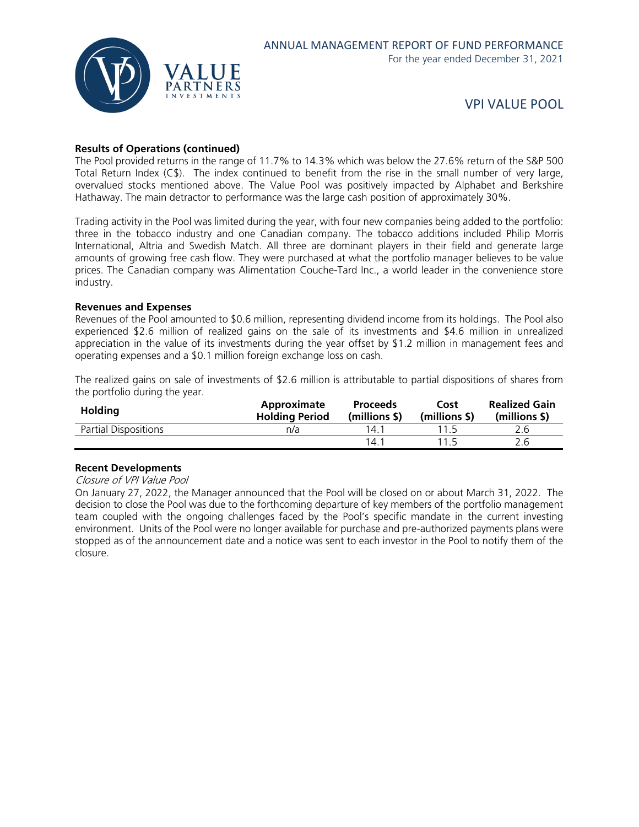

## **Results of Operations (continued)**

The Pool provided returns in the range of 11.7% to 14.3% which was below the 27.6% return of the S&P 500 Total Return Index (C\$). The index continued to benefit from the rise in the small number of very large, overvalued stocks mentioned above. The Value Pool was positively impacted by Alphabet and Berkshire Hathaway. The main detractor to performance was the large cash position of approximately 30%.

Trading activity in the Pool was limited during the year, with four new companies being added to the portfolio: three in the tobacco industry and one Canadian company. The tobacco additions included Philip Morris International, Altria and Swedish Match. All three are dominant players in their field and generate large amounts of growing free cash flow. They were purchased at what the portfolio manager believes to be value prices. The Canadian company was Alimentation Couche-Tard Inc., a world leader in the convenience store industry.

#### **Revenues and Expenses**

Revenues of the Pool amounted to \$0.6 million, representing dividend income from its holdings. The Pool also experienced \$2.6 million of realized gains on the sale of its investments and \$4.6 million in unrealized appreciation in the value of its investments during the year offset by \$1.2 million in management fees and operating expenses and a \$0.1 million foreign exchange loss on cash.

The realized gains on sale of investments of \$2.6 million is attributable to partial dispositions of shares from the portfolio during the year.

| <b>Holding</b>       | Approximate<br><b>Holding Period</b> | <b>Proceeds</b><br>(millions \$) | Cost<br>(millions \$) | <b>Realized Gain</b><br>(millions \$) |
|----------------------|--------------------------------------|----------------------------------|-----------------------|---------------------------------------|
| Partial Dispositions | n/a                                  | 14.1                             |                       | 2.6                                   |
|                      |                                      | 14.1                             |                       | 2.6                                   |

#### **Recent Developments**

Closure of VPI Value Pool

On January 27, 2022, the Manager announced that the Pool will be closed on or about March 31, 2022. The decision to close the Pool was due to the forthcoming departure of key members of the portfolio management team coupled with the ongoing challenges faced by the Pool's specific mandate in the current investing environment. Units of the Pool were no longer available for purchase and pre-authorized payments plans were stopped as of the announcement date and a notice was sent to each investor in the Pool to notify them of the closure.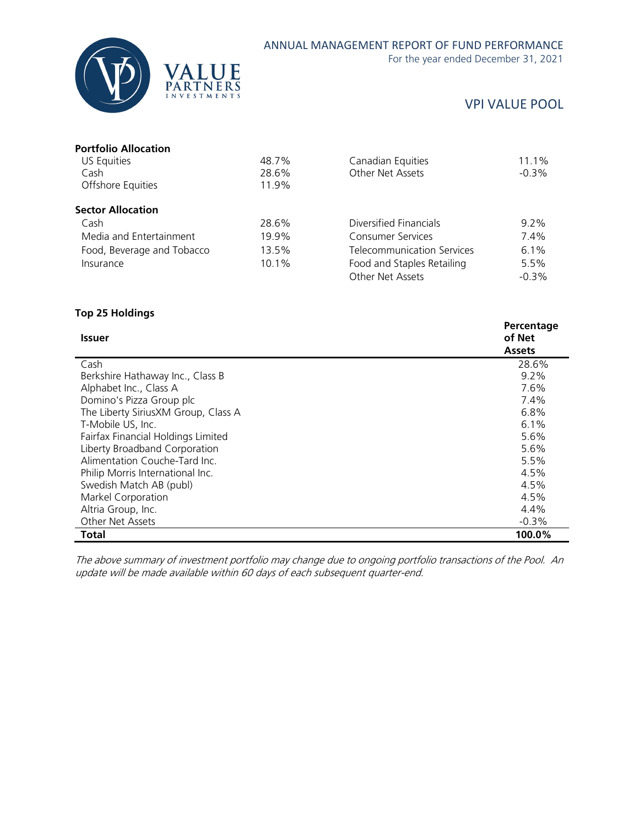

For the year ended December 31, 2021

## VPI VALUE POOL

| <b>Portfolio Allocation</b> |       |                            |          |
|-----------------------------|-------|----------------------------|----------|
| US Equities                 | 48.7% | Canadian Equities          | 11.1%    |
| Cash                        | 28.6% | Other Net Assets           | $-0.3\%$ |
| Offshore Equities           | 11.9% |                            |          |
| <b>Sector Allocation</b>    |       |                            |          |
| Cash                        | 28.6% | Diversified Financials     | $9.2\%$  |
| Media and Entertainment     | 19.9% | <b>Consumer Services</b>   | 7.4%     |
| Food, Beverage and Tobacco  | 13.5% | Telecommunication Services | 6.1%     |
| Insurance                   | 10.1% | Food and Staples Retailing | 5.5%     |
|                             |       | Other Net Assets           | $-0.3%$  |

## **Top 25 Holdings**

| <b>Issuer</b>                       | Percentage<br>of Net<br><b>Assets</b> |
|-------------------------------------|---------------------------------------|
| Cash                                | 28.6%                                 |
| Berkshire Hathaway Inc., Class B    | $9.2\%$                               |
| Alphabet Inc., Class A              | 7.6%                                  |
| Domino's Pizza Group plc            | 7.4%                                  |
| The Liberty SiriusXM Group, Class A | 6.8%                                  |
| T-Mobile US, Inc.                   | 6.1%                                  |
| Fairfax Financial Holdings Limited  | 5.6%                                  |
| Liberty Broadband Corporation       | 5.6%                                  |
| Alimentation Couche-Tard Inc.       | 5.5%                                  |
| Philip Morris International Inc.    | 4.5%                                  |
| Swedish Match AB (publ)             | 4.5%                                  |
| Markel Corporation                  | 4.5%                                  |
| Altria Group, Inc.                  | 4.4%                                  |
| Other Net Assets                    | $-0.3%$                               |
| Total                               | 100.0%                                |

The above summary of investment portfolio may change due to ongoing portfolio transactions of the Pool. An update will be made available within 60 days of each subsequent quarter-end.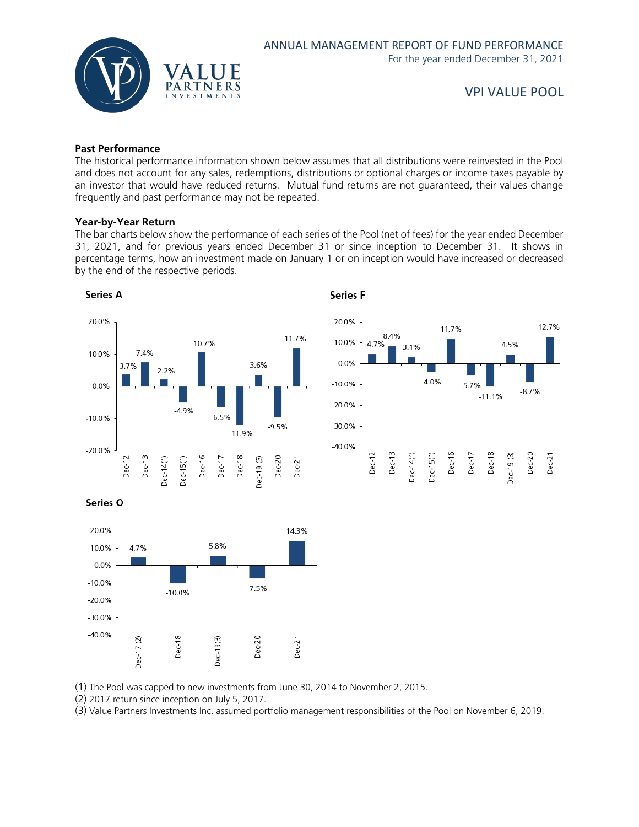

### **Past Performance**

The historical performance information shown below assumes that all distributions were reinvested in the Pool and does not account for any sales, redemptions, distributions or optional charges or income taxes payable by an investor that would have reduced returns. Mutual fund returns are not guaranteed, their values change frequently and past performance may not be repeated.

#### **Year-by-Year Return**

The bar charts below show the performance of each series of the Pool (net of fees) for the year ended December 31, 2021, and for previous years ended December 31 or since inception to December 31. It shows in percentage terms, how an investment made on January 1 or on inception would have increased or decreased by the end of the respective periods.





(1) The Pool was capped to new investments from June 30, 2014 to November 2, 2015.

(2) 2017 return since inception on July 5, 2017.

(3) Value Partners Investments Inc. assumed portfolio management responsibilities of the Pool on November 6, 2019.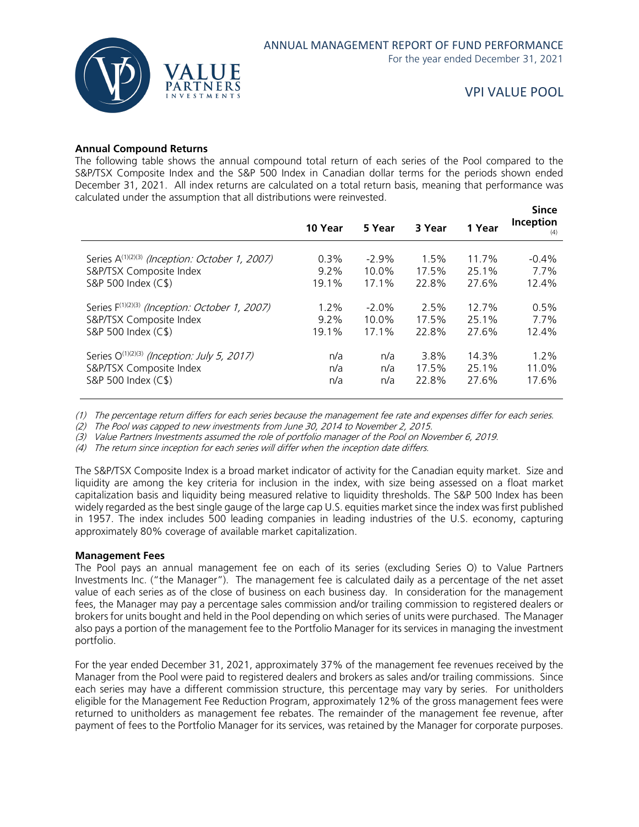

**Since**

## **Annual Compound Returns**

The following table shows the annual compound total return of each series of the Pool compared to the S&P/TSX Composite Index and the S&P 500 Index in Canadian dollar terms for the periods shown ended December 31, 2021. All index returns are calculated on a total return basis, meaning that performance was calculated under the assumption that all distributions were reinvested.

|                                                            | 10 Year | 5 Year   | 3 Year  | 1 Year | энке<br>Inception<br>(4) |
|------------------------------------------------------------|---------|----------|---------|--------|--------------------------|
| Series A <sup>(1)(2)(3)</sup> (Inception: October 1, 2007) | $0.3\%$ | $-2.9%$  | $1.5\%$ | 11.7%  | $-0.4\%$                 |
| S&P/TSX Composite Index                                    | $9.2\%$ | 10.0%    | 17.5%   | 25.1%  | 7.7%                     |
| S&P 500 Index (C\$)                                        | 19.1%   | 17.1%    | 22.8%   | 27.6%  | 12.4%                    |
| Series F <sup>(1)(2)(3)</sup> (Inception: October 1, 2007) | $1.2\%$ | $-2.0\%$ | 2.5%    | 12.7%  | 0.5%                     |
| S&P/TSX Composite Index                                    | $9.2\%$ | 10.0%    | 17.5%   | 25.1%  | 7.7%                     |
| S&P 500 Index (C\$)                                        | 19.1%   | 17.1%    | 22.8%   | 27.6%  | 12.4%                    |
| Series $O^{(1)(2)(3)}$ (Inception: July 5, 2017)           | n/a     | n/a      | 3.8%    | 14.3%  | 1.2%                     |
| S&P/TSX Composite Index                                    | n/a     | n/a      | 17.5%   | 25.1%  | 11.0%                    |
| S&P 500 Index (C\$)                                        | n/a     | n/a      | 22.8%   | 27.6%  | 17.6%                    |

(1) The percentage return differs for each series because the management fee rate and expenses differ for each series.

(2) The Pool was capped to new investments from June 30, 2014 to November 2, 2015.

(3) Value Partners Investments assumed the role of portfolio manager of the Pool on November 6, 2019.

(4) The return since inception for each series will differ when the inception date differs.

The S&P/TSX Composite Index is a broad market indicator of activity for the Canadian equity market. Size and liquidity are among the key criteria for inclusion in the index, with size being assessed on a float market capitalization basis and liquidity being measured relative to liquidity thresholds. The S&P 500 Index has been widely regarded as the best single gauge of the large cap U.S. equities market since the index was first published in 1957. The index includes 500 leading companies in leading industries of the U.S. economy, capturing approximately 80% coverage of available market capitalization.

#### **Management Fees**

The Pool pays an annual management fee on each of its series (excluding Series O) to Value Partners Investments Inc. ("the Manager"). The management fee is calculated daily as a percentage of the net asset value of each series as of the close of business on each business day. In consideration for the management fees, the Manager may pay a percentage sales commission and/or trailing commission to registered dealers or brokers for units bought and held in the Pool depending on which series of units were purchased. The Manager also pays a portion of the management fee to the Portfolio Manager for its services in managing the investment portfolio.

For the year ended December 31, 2021, approximately 37% of the management fee revenues received by the Manager from the Pool were paid to registered dealers and brokers as sales and/or trailing commissions. Since each series may have a different commission structure, this percentage may vary by series. For unitholders eligible for the Management Fee Reduction Program, approximately 12% of the gross management fees were returned to unitholders as management fee rebates. The remainder of the management fee revenue, after payment of fees to the Portfolio Manager for its services, was retained by the Manager for corporate purposes.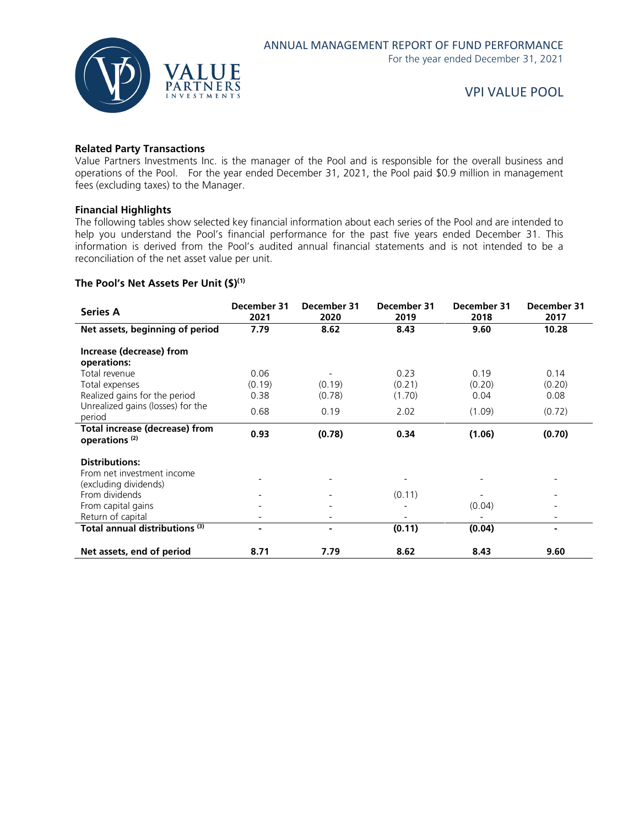

### **Related Party Transactions**

Value Partners Investments Inc. is the manager of the Pool and is responsible for the overall business and operations of the Pool. For the year ended December 31, 2021, the Pool paid \$0.9 million in management fees (excluding taxes) to the Manager.

#### **Financial Highlights**

The following tables show selected key financial information about each series of the Pool and are intended to help you understand the Pool's financial performance for the past five years ended December 31. This information is derived from the Pool's audited annual financial statements and is not intended to be a reconciliation of the net asset value per unit.

## **The Pool's Net Assets Per Unit (\$)(1)**

| <b>Series A</b>                                                    | December 31<br>2021 | December 31<br>2020 | December 31<br>2019 | December 31<br>2018 | December 31<br>2017 |
|--------------------------------------------------------------------|---------------------|---------------------|---------------------|---------------------|---------------------|
| Net assets, beginning of period                                    | 7.79                | 8.62                | 8.43                | 9.60                | 10.28               |
| Increase (decrease) from<br>operations:                            |                     |                     |                     |                     |                     |
| Total revenue<br>Total expenses                                    | 0.06<br>(0.19)      | (0.19)              | 0.23<br>(0.21)      | 0.19<br>(0.20)      | 0.14<br>(0.20)      |
| Realized gains for the period                                      | 0.38                | (0.78)              | (1.70)              | 0.04                | 0.08                |
| Unrealized gains (losses) for the<br>period                        | 0.68                | 0.19                | 2.02                | (1.09)              | (0.72)              |
| <b>Total increase (decrease) from</b><br>operations <sup>(2)</sup> | 0.93                | (0.78)              | 0.34                | (1.06)              | (0.70)              |
| <b>Distributions:</b><br>From net investment income                |                     |                     |                     |                     |                     |
| (excluding dividends)<br>From dividends                            |                     |                     | (0.11)              |                     |                     |
| From capital gains                                                 |                     |                     |                     | (0.04)              |                     |
| Return of capital<br>Total annual distributions <sup>(3)</sup>     | ۰                   | ٠                   | (0.11)              | (0.04)              | ۰                   |
| Net assets, end of period                                          | 8.71                | 7.79                | 8.62                | 8.43                | 9.60                |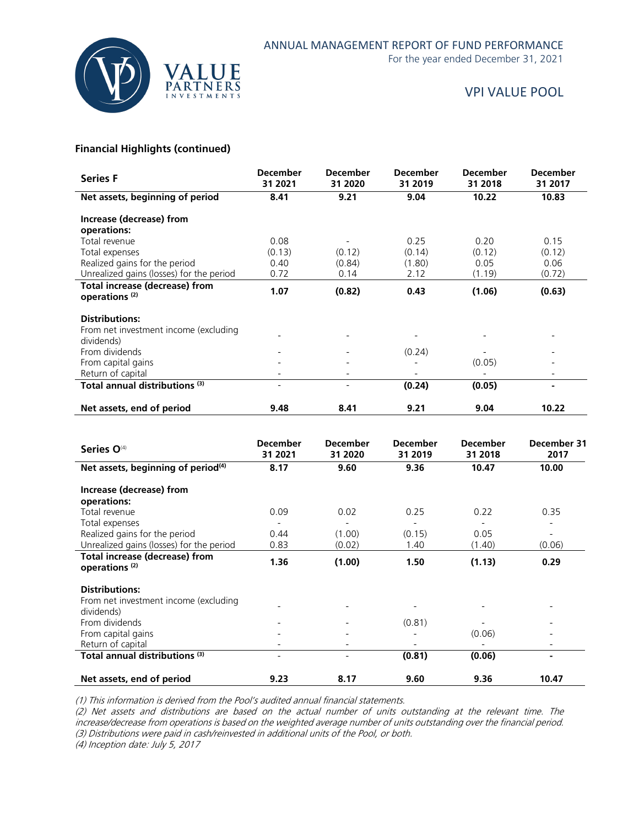

For the year ended December 31, 2021

## VPI VALUE POOL

## **Financial Highlights (continued)**

| <b>Series F</b>                                                           | <b>December</b><br>31 2021 | <b>December</b><br>31 2020 | <b>December</b><br>31 2019 | <b>December</b><br>31 2018 | <b>December</b><br>31 2017 |
|---------------------------------------------------------------------------|----------------------------|----------------------------|----------------------------|----------------------------|----------------------------|
| Net assets, beginning of period                                           | 8.41                       | 9.21                       | 9.04                       | 10.22                      | 10.83                      |
| Increase (decrease) from<br>operations:                                   |                            |                            |                            |                            |                            |
| Total revenue<br>Total expenses                                           | 0.08<br>(0.13)             | (0.12)                     | 0.25<br>(0.14)             | 0.20<br>(0.12)             | 0.15<br>(0.12)             |
| Realized gains for the period<br>Unrealized gains (losses) for the period | 0.40<br>0.72               | (0.84)<br>0.14             | (1.80)<br>2.12             | 0.05<br>(1.19)             | 0.06<br>(0.72)             |
| Total increase (decrease) from<br>operations <sup>(2)</sup>               | 1.07                       | (0.82)                     | 0.43                       | (1.06)                     | (0.63)                     |
| <b>Distributions:</b><br>From net investment income (excluding            |                            |                            |                            |                            |                            |
| dividends)                                                                |                            |                            |                            |                            |                            |
| From dividends                                                            |                            |                            | (0.24)                     |                            |                            |
| From capital gains                                                        |                            |                            |                            | (0.05)                     |                            |
| Return of capital<br>Total annual distributions <sup>(3)</sup>            |                            |                            | (0.24)                     | (0.05)                     |                            |
|                                                                           |                            |                            |                            |                            |                            |
| Net assets, end of period                                                 | 9.48                       | 8.41                       | 9.21                       | 9.04                       | 10.22                      |

| Series O <sup>(4)</sup>                                     | <b>December</b><br>31 2021 | <b>December</b><br>31 2020 | <b>December</b><br>31 2019 | <b>December</b><br>31 2018 | December 31<br>2017      |
|-------------------------------------------------------------|----------------------------|----------------------------|----------------------------|----------------------------|--------------------------|
| Net assets, beginning of period <sup>(4)</sup>              | 8.17                       | 9.60                       | 9.36                       | 10.47                      | 10.00                    |
| Increase (decrease) from                                    |                            |                            |                            |                            |                          |
| operations:                                                 |                            |                            |                            |                            |                          |
| Total revenue                                               | 0.09                       | 0.02                       | 0.25                       | 0.22                       | 0.35                     |
| Total expenses                                              |                            |                            |                            |                            | $\overline{\phantom{a}}$ |
| Realized gains for the period                               | 0.44                       | (1.00)                     | (0.15)                     | 0.05                       |                          |
| Unrealized gains (losses) for the period                    | 0.83                       | (0.02)                     | 1.40                       | (1.40)                     | (0.06)                   |
| Total increase (decrease) from<br>operations <sup>(2)</sup> | 1.36                       | (1.00)                     | 1.50                       | (1.13)                     | 0.29                     |
| <b>Distributions:</b>                                       |                            |                            |                            |                            |                          |
| From net investment income (excluding<br>dividends)         |                            |                            |                            |                            |                          |
| From dividends                                              |                            |                            | (0.81)                     |                            |                          |
| From capital gains                                          |                            |                            |                            | (0.06)                     |                          |
| Return of capital                                           |                            |                            |                            |                            |                          |
| Total annual distributions (3)                              |                            | $\overline{\phantom{0}}$   | (0.81)                     | (0.06)                     | $\blacksquare$           |
| Net assets, end of period                                   | 9.23                       | 8.17                       | 9.60                       | 9.36                       | 10.47                    |

(1) This information is derived from the Pool's audited annual financial statements.

(2) Net assets and distributions are based on the actual number of units outstanding at the relevant time. The increase/decrease from operations is based on the weighted average number of units outstanding over the financial period. (3) Distributions were paid in cash/reinvested in additional units of the Pool, or both.

(4) Inception date: July 5, 2017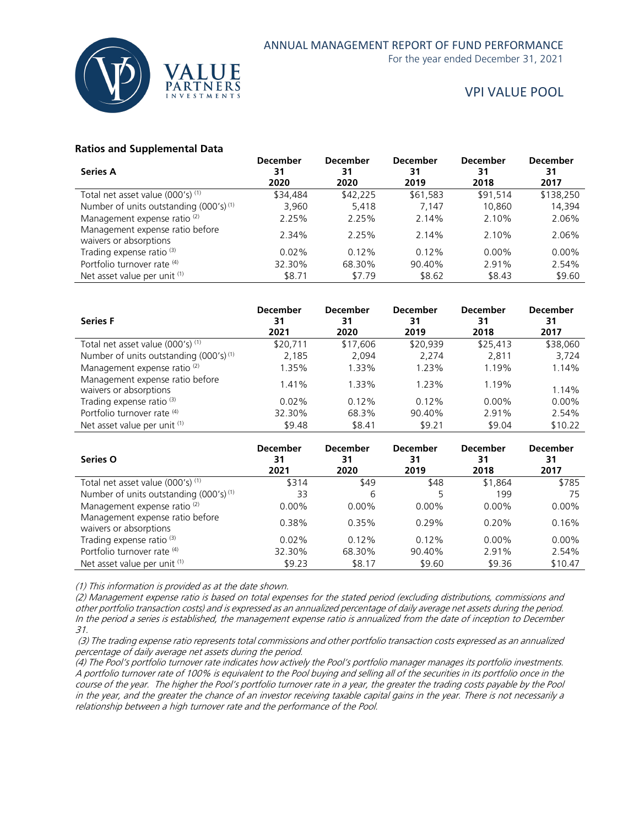

For the year ended December 31, 2021

## VPI VALUE POOL

### **Ratios and Supplemental Data**

| <b>Series A</b>                                           | <b>December</b><br>31 | <b>December</b><br>31 | <b>December</b><br>31 | <b>December</b><br>31 | <b>December</b><br>31 |
|-----------------------------------------------------------|-----------------------|-----------------------|-----------------------|-----------------------|-----------------------|
|                                                           | 2020                  | 2020                  | 2019                  | 2018                  | 2017                  |
| Total net asset value (000's) <sup>(1)</sup>              | \$34,484              | \$42,225              | \$61,583              | \$91,514              | \$138,250             |
| Number of units outstanding (000's) <sup>(1)</sup>        | 3.960                 | 5.418                 | 7.147                 | 10.860                | 14,394                |
| Management expense ratio <sup>(2)</sup>                   | 2.25%                 | 2.25%                 | 2.14%                 | 2.10%                 | 2.06%                 |
| Management expense ratio before<br>waivers or absorptions | 2.34%                 | 2.25%                 | 2.14%                 | 2.10%                 | 2.06%                 |
| Trading expense ratio <sup>(3)</sup>                      | $0.02\%$              | 0.12%                 | 0.12%                 | $0.00\%$              | $0.00\%$              |
| Portfolio turnover rate (4)                               | 32.30%                | 68.30%                | 90.40%                | 2.91%                 | 2.54%                 |
| Net asset value per unit (1)                              | \$8.71                | \$7.79                | \$8.62                | \$8.43                | \$9.60                |

| <b>Series F</b>                                           | <b>December</b><br>31<br>2021 | <b>December</b><br>31<br>2020 | <b>December</b><br>31<br>2019 | <b>December</b><br>31<br>2018 | <b>December</b><br>31<br>2017 |
|-----------------------------------------------------------|-------------------------------|-------------------------------|-------------------------------|-------------------------------|-------------------------------|
| Total net asset value (000's) (1)                         | \$20.711                      | \$17,606                      | \$20.939                      | \$25,413                      | \$38,060                      |
| Number of units outstanding (000's) <sup>(1)</sup>        | 2,185                         | 2,094                         | 2.274                         | 2,811                         | 3,724                         |
| Management expense ratio <sup>(2)</sup>                   | .35%                          | 1.33%                         | 1.23%                         | 1.19%                         | 1.14%                         |
| Management expense ratio before<br>waivers or absorptions | 1.41%                         | 1.33%                         | 1.23%                         | 1.19%                         | 1.14%                         |
| Trading expense ratio <sup>(3)</sup>                      | $0.02\%$                      | 0.12%                         | 0.12%                         | $0.00\%$                      | $0.00\%$                      |
| Portfolio turnover rate (4)                               | 32.30%                        | 68.3%                         | 90.40%                        | 2.91%                         | 2.54%                         |
| Net asset value per unit (1)                              | \$9.48                        | \$8.41                        | \$9.21                        | \$9.04                        | \$10.22                       |

| Series O                                                  | <b>December</b><br>31<br>2021 | <b>December</b><br>31<br>2020 | <b>December</b><br>31<br>2019 | <b>December</b><br>31<br>2018 | <b>December</b><br>31<br>2017 |
|-----------------------------------------------------------|-------------------------------|-------------------------------|-------------------------------|-------------------------------|-------------------------------|
| Total net asset value (000's) (1)                         | \$314                         | \$49                          | \$48                          | \$1,864                       | \$785                         |
| Number of units outstanding (000's) <sup>(1)</sup>        | 33                            | 6                             | 5                             | 199                           | 75                            |
| Management expense ratio <sup>(2)</sup>                   | $0.00\%$                      | $0.00\%$                      | $0.00\%$                      | $0.00\%$                      | $0.00\%$                      |
| Management expense ratio before<br>waivers or absorptions | 0.38%                         | 0.35%                         | 0.29%                         | 0.20%                         | 0.16%                         |
| Trading expense ratio <sup>(3)</sup>                      | 0.02%                         | 0.12%                         | 0.12%                         | $0.00\%$                      | $0.00\%$                      |
| Portfolio turnover rate (4)                               | 32.30%                        | 68.30%                        | 90.40%                        | 2.91%                         | 2.54%                         |
| Net asset value per unit (1)                              | \$9.23                        | \$8.17                        | \$9.60                        | \$9.36                        | \$10.47                       |

(1) This information is provided as at the date shown.

(2) Management expense ratio is based on total expenses for the stated period (excluding distributions, commissions and other portfolio transaction costs) and is expressed as an annualized percentage of daily average net assets during the period. In the period a series is established, the management expense ratio is annualized from the date of inception to December 31.

(3) The trading expense ratio represents total commissions and other portfolio transaction costs expressed as an annualized percentage of daily average net assets during the period.

(4) The Pool's portfolio turnover rate indicates how actively the Pool's portfolio manager manages its portfolio investments. A portfolio turnover rate of 100% is equivalent to the Pool buying and selling all of the securities in its portfolio once in the course of the year. The higher the Pool's portfolio turnover rate in a year, the greater the trading costs payable by the Pool in the year, and the greater the chance of an investor receiving taxable capital gains in the year. There is not necessarily a relationship between a high turnover rate and the performance of the Pool.